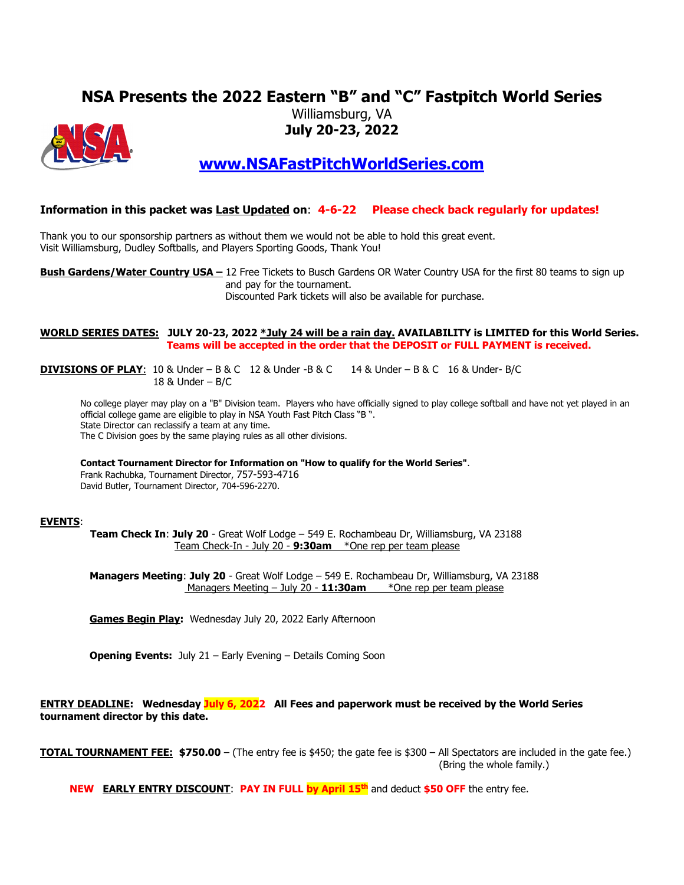# **NSA Presents the 2022 Eastern "B" and "C" Fastpitch World Series**



# Williamsburg, VA **July 20-23, 2022**

**[www.NSAFastPitchWorldSeries.com](http://www.nsafastpitchworldseries.com/)**

### **Information in this packet was Last Updated on**: **4-6-22 Please check back regularly for updates!**

Thank you to our sponsorship partners as without them we would not be able to hold this great event. Visit Williamsburg, Dudley Softballs, and Players Sporting Goods, Thank You!

**Bush Gardens/Water Country USA –** 12 Free Tickets to Busch Gardens OR Water Country USA for the first 80 teams to sign up and pay for the tournament.

Discounted Park tickets will also be available for purchase.

#### **WORLD SERIES DATES: JULY 20-23, 2022 \*July 24 will be a rain day. AVAILABILITY is LIMITED for this World Series. Teams will be accepted in the order that the DEPOSIT or FULL PAYMENT is received.**

**DIVISIONS OF PLAY**: 10 & Under – B & C 12 & Under -B & C 14 & Under – B & C 16 & Under- B/C 18 & Under – B/C

No college player may play on a "B" Division team. Players who have officially signed to play college softball and have not yet played in an official college game are eligible to play in NSA Youth Fast Pitch Class "B ". State Director can reclassify a team at any time. The C Division goes by the same playing rules as all other divisions.

**Contact Tournament Director for Information on "How to qualify for the World Series"**.

Frank Rachubka, Tournament Director, 757-593-4716 David Butler, Tournament Director, 704-596-2270.

#### **EVENTS**:

 **Team Check In**: **July 20** - Great Wolf Lodge – 549 E. Rochambeau Dr, Williamsburg, VA 23188 Team Check-In - July 20 - **9:30am** \*One rep per team please

 **Managers Meeting**: **July 20** - Great Wolf Lodge – 549 E. Rochambeau Dr, Williamsburg, VA 23188 Managers Meeting – July 20 - **11:30am** \*One rep per team please

**Games Begin Play:** Wednesday July 20, 2022 Early Afternoon

**Opening Events:** July 21 – Early Evening – Details Coming Soon

#### **ENTRY DEADLINE: Wednesday July 6, 2022 All Fees and paperwork must be received by the World Series tournament director by this date.**

**TOTAL TOURNAMENT FEE: \$750.00** – (The entry fee is \$450; the gate fee is \$300 – All Spectators are included in the gate fee.) (Bring the whole family.)

**NEW EARLY ENTRY DISCOUNT: PAY IN FULL by April 15<sup>th</sup> and deduct \$50 OFF** the entry fee.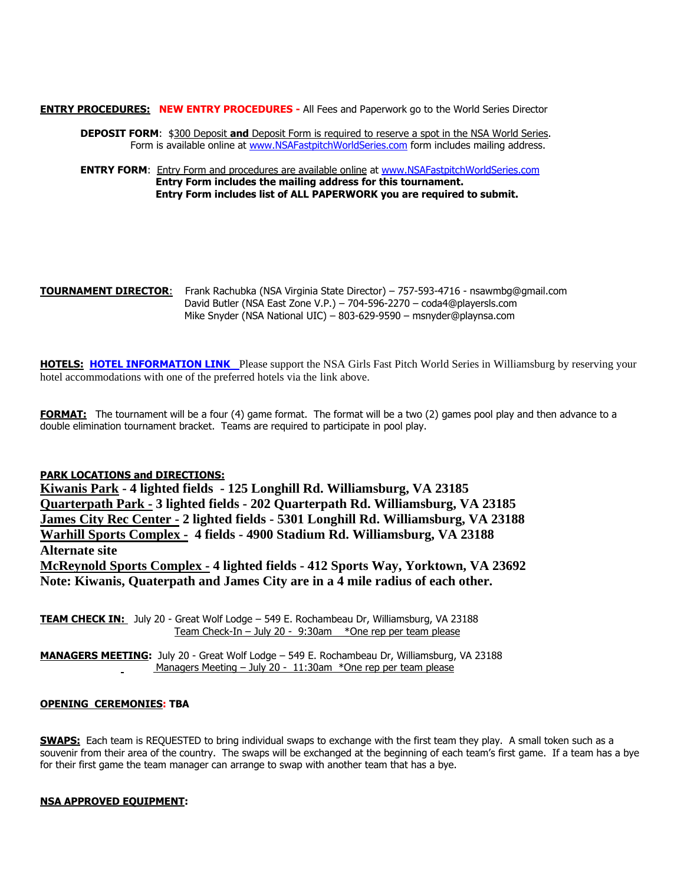**ENTRY PROCEDURES: NEW ENTRY PROCEDURES - All Fees and Paperwork go to the World Series Director** 

**DEPOSIT FORM**: \$300 Deposit **and** Deposit Form is required to reserve a spot in the NSA World Series. Form is available online at [www.NSAFastpitchWorldSeries.com](https://www.nsafastpitchworldseries.com/) form includes mailing address.

**ENTRY FORM:** Entry Form and procedures are available online at [www.NSAFastpitchWorldSeries.com](https://www.nsafastpitchworldseries.com/) **Entry Form includes the mailing address for this tournament. Entry Form includes list of ALL PAPERWORK you are required to submit.**

**TOURNAMENT DIRECTOR**: Frank Rachubka (NSA Virginia State Director) – 757-593-4716 - nsawmbg@gmail.com David Butler (NSA East Zone V.P.) – 704-596-2270 – coda4@playersls.com Mike Snyder (NSA National UIC) – 803-629-9590 – msnyder@playnsa.com

**HOTELS: [HOTEL INFORMATION LINK](https://sports.jemshospitality.com/nsa/worldseries/)** Please support the NSA Girls Fast Pitch World Series in Williamsburg by reserving your hotel accommodations with one of the preferred hotels via the link above.

**FORMAT:** The tournament will be a four (4) game format. The format will be a two (2) games pool play and then advance to a double elimination tournament bracket. Teams are required to participate in pool play.

#### **PARK LOCATIONS and DIRECTIONS:**

**Kiwanis Park - 4 lighted fields - 125 Longhill Rd. Williamsburg, VA 23185 Quarterpath Park - 3 lighted fields - 202 Quarterpath Rd. Williamsburg, VA 23185 James City Rec Center - 2 lighted fields - 5301 Longhill Rd. Williamsburg, VA 23188 Warhill Sports Complex - 4 fields - 4900 Stadium Rd. Williamsburg, VA 23188 Alternate site McReynold Sports Complex - 4 lighted fields - 412 Sports Way, Yorktown, VA 23692 Note: Kiwanis, Quaterpath and James City are in a 4 mile radius of each other.**

**TEAM CHECK IN:** July 20 - Great Wolf Lodge – 549 E. Rochambeau Dr, Williamsburg, VA 23188 Team Check-In – July 20 - 9:30am \*One rep per team please

**MANAGERS MEETING:** July 20 - Great Wolf Lodge – 549 E. Rochambeau Dr, Williamsburg, VA 23188 Managers Meeting – July 20 - 11:30am \*One rep per team please

#### **OPENING CEREMONIES: TBA**

**SWAPS:** Each team is REQUESTED to bring individual swaps to exchange with the first team they play. A small token such as a souvenir from their area of the country. The swaps will be exchanged at the beginning of each team's first game. If a team has a bye for their first game the team manager can arrange to swap with another team that has a bye.

#### **NSA APPROVED EQUIPMENT:**